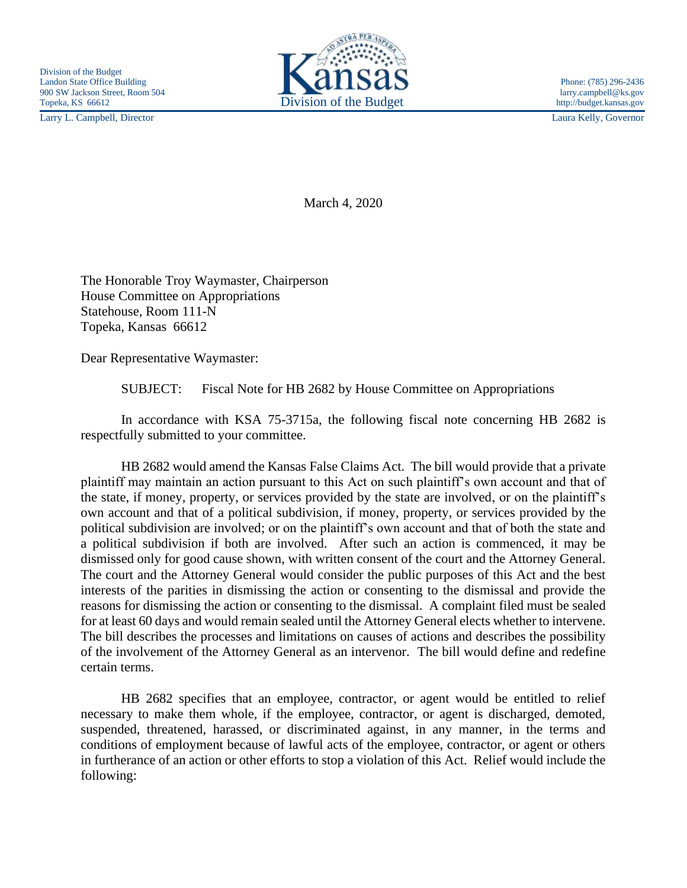Larry L. Campbell, Director Laura Kelly, Governor



March 4, 2020

The Honorable Troy Waymaster, Chairperson House Committee on Appropriations Statehouse, Room 111-N Topeka, Kansas 66612

Dear Representative Waymaster:

SUBJECT: Fiscal Note for HB 2682 by House Committee on Appropriations

In accordance with KSA 75-3715a, the following fiscal note concerning HB 2682 is respectfully submitted to your committee.

HB 2682 would amend the Kansas False Claims Act. The bill would provide that a private plaintiff may maintain an action pursuant to this Act on such plaintiff's own account and that of the state, if money, property, or services provided by the state are involved, or on the plaintiff's own account and that of a political subdivision, if money, property, or services provided by the political subdivision are involved; or on the plaintiff's own account and that of both the state and a political subdivision if both are involved. After such an action is commenced, it may be dismissed only for good cause shown, with written consent of the court and the Attorney General. The court and the Attorney General would consider the public purposes of this Act and the best interests of the parities in dismissing the action or consenting to the dismissal and provide the reasons for dismissing the action or consenting to the dismissal. A complaint filed must be sealed for at least 60 days and would remain sealed until the Attorney General elects whether to intervene. The bill describes the processes and limitations on causes of actions and describes the possibility of the involvement of the Attorney General as an intervenor. The bill would define and redefine certain terms.

HB 2682 specifies that an employee, contractor, or agent would be entitled to relief necessary to make them whole, if the employee, contractor, or agent is discharged, demoted, suspended, threatened, harassed, or discriminated against, in any manner, in the terms and conditions of employment because of lawful acts of the employee, contractor, or agent or others in furtherance of an action or other efforts to stop a violation of this Act. Relief would include the following: